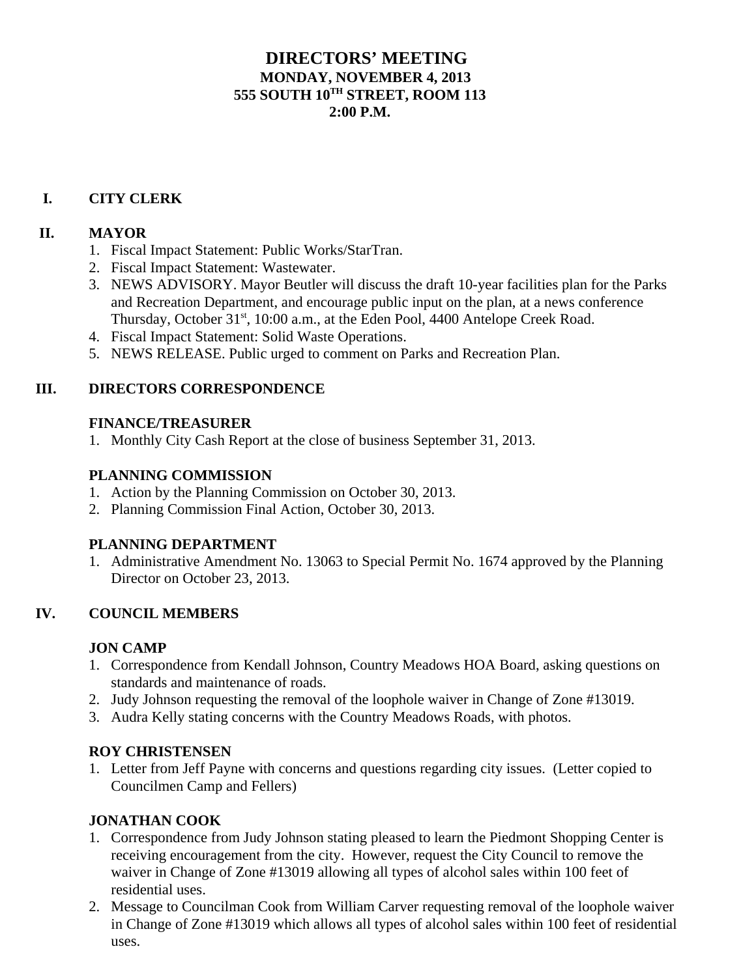# **DIRECTORS' MEETING MONDAY, NOVEMBER 4, 2013 555 SOUTH 10TH STREET, ROOM 113 2:00 P.M.**

# **I. CITY CLERK**

# **II. MAYOR**

- 1. Fiscal Impact Statement: Public Works/StarTran.
- 2. Fiscal Impact Statement: Wastewater.
- 3. NEWS ADVISORY. Mayor Beutler will discuss the draft 10-year facilities plan for the Parks and Recreation Department, and encourage public input on the plan, at a news conference Thursday, October 31<sup>st</sup>, 10:00 a.m., at the Eden Pool, 4400 Antelope Creek Road.
- 4. Fiscal Impact Statement: Solid Waste Operations.
- 5. NEWS RELEASE. Public urged to comment on Parks and Recreation Plan.

### **III. DIRECTORS CORRESPONDENCE**

#### **FINANCE/TREASURER**

1. Monthly City Cash Report at the close of business September 31, 2013.

#### **PLANNING COMMISSION**

- 1. Action by the Planning Commission on October 30, 2013.
- 2. Planning Commission Final Action, October 30, 2013.

#### **PLANNING DEPARTMENT**

1. Administrative Amendment No. 13063 to Special Permit No. 1674 approved by the Planning Director on October 23, 2013.

#### **IV. COUNCIL MEMBERS**

#### **JON CAMP**

- 1. Correspondence from Kendall Johnson, Country Meadows HOA Board, asking questions on standards and maintenance of roads.
- 2. Judy Johnson requesting the removal of the loophole waiver in Change of Zone #13019.
- 3. Audra Kelly stating concerns with the Country Meadows Roads, with photos.

#### **ROY CHRISTENSEN**

1. Letter from Jeff Payne with concerns and questions regarding city issues. (Letter copied to Councilmen Camp and Fellers)

#### **JONATHAN COOK**

- 1. Correspondence from Judy Johnson stating pleased to learn the Piedmont Shopping Center is receiving encouragement from the city. However, request the City Council to remove the waiver in Change of Zone #13019 allowing all types of alcohol sales within 100 feet of residential uses.
- 2. Message to Councilman Cook from William Carver requesting removal of the loophole waiver in Change of Zone #13019 which allows all types of alcohol sales within 100 feet of residential uses.